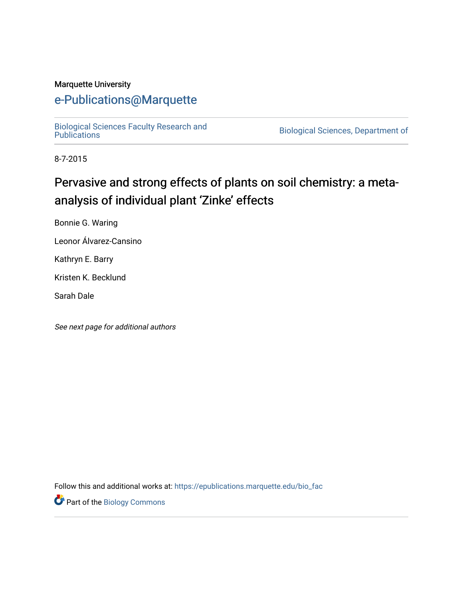#### Marquette University

# [e-Publications@Marquette](https://epublications.marquette.edu/)

[Biological Sciences Faculty Research and](https://epublications.marquette.edu/bio_fac) 

Biological Sciences, Department of

8-7-2015

# Pervasive and strong effects of plants on soil chemistry: a metaanalysis of individual plant 'Zinke' effects

Bonnie G. Waring

Leonor Álvarez-Cansino

Kathryn E. Barry

Kristen K. Becklund

Sarah Dale

See next page for additional authors

Follow this and additional works at: [https://epublications.marquette.edu/bio\\_fac](https://epublications.marquette.edu/bio_fac?utm_source=epublications.marquette.edu%2Fbio_fac%2F718&utm_medium=PDF&utm_campaign=PDFCoverPages) 

Part of the [Biology Commons](http://network.bepress.com/hgg/discipline/41?utm_source=epublications.marquette.edu%2Fbio_fac%2F718&utm_medium=PDF&utm_campaign=PDFCoverPages)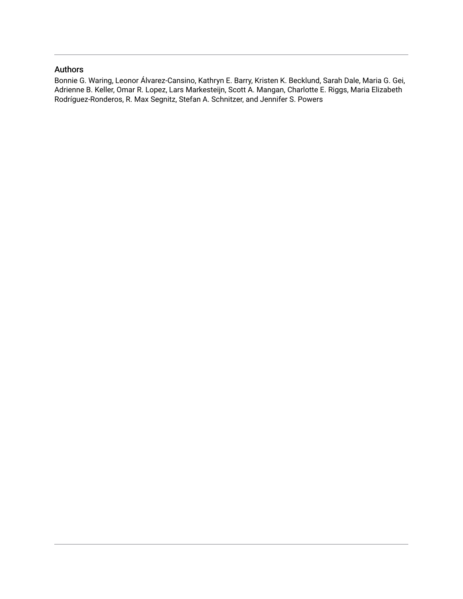#### Authors

Bonnie G. Waring, Leonor Álvarez-Cansino, Kathryn E. Barry, Kristen K. Becklund, Sarah Dale, Maria G. Gei, Adrienne B. Keller, Omar R. Lopez, Lars Markesteijn, Scott A. Mangan, Charlotte E. Riggs, Maria Elizabeth Rodríguez-Ronderos, R. Max Segnitz, Stefan A. Schnitzer, and Jennifer S. Powers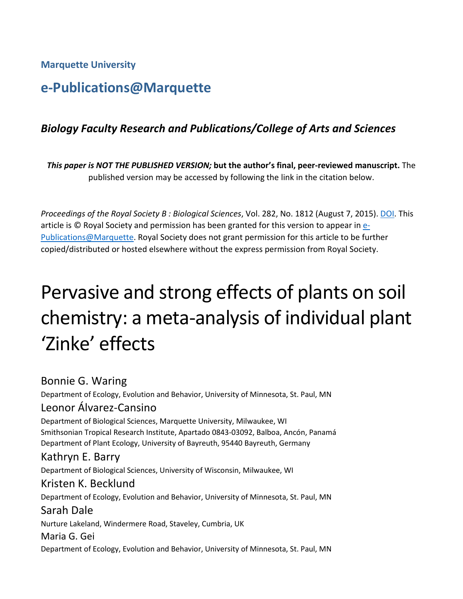**Marquette University**

# **e-Publications@Marquette**

# *Biology Faculty Research and Publications/College of Arts and Sciences*

*This paper is NOT THE PUBLISHED VERSION;* **but the author's final, peer-reviewed manuscript.** The published version may be accessed by following the link in the citation below.

*Proceedings of the Royal Society B : Biological Sciences*, Vol. 282, No. 1812 (August 7, 2015). DOI. This article is © Royal Society and permission has been granted for this version to appear in [e-](http://epublications.marquette.edu/)[Publications@Marquette.](http://epublications.marquette.edu/) Royal Society does not grant permission for this article to be further copied/distributed or hosted elsewhere without the express permission from Royal Society.

# Pervasive and strong effects of plants on soil chemistry: a meta-analysis of individual plant 'Zinke' effects

## Bonnie G. Waring

Department of Ecology, Evolution and Behavior, University of Minnesota, St. Paul, MN Leonor Álvarez-Cansino Department of Biological Sciences, Marquette University, Milwaukee, WI Smithsonian Tropical Research Institute, Apartado 0843-03092, Balboa, Ancón, Panamá Department of Plant Ecology, University of Bayreuth, 95440 Bayreuth, Germany

#### Kathryn E. Barry

Department of Biological Sciences, University of Wisconsin, Milwaukee, WI

## Kristen K. Becklund

Department of Ecology, Evolution and Behavior, University of Minnesota, St. Paul, MN

# Sarah Dale

Nurture Lakeland, Windermere Road, Staveley, Cumbria, UK

#### Maria G. Gei

Department of Ecology, Evolution and Behavior, University of Minnesota, St. Paul, MN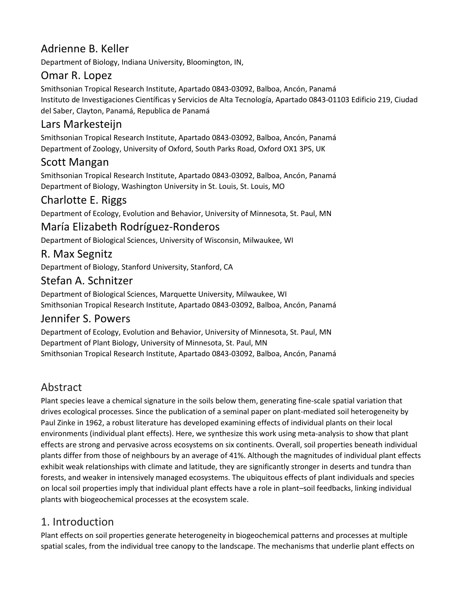# Adrienne B. Keller

Department of Biology, Indiana University, Bloomington, IN,

# Omar R. Lopez

Smithsonian Tropical Research Institute, Apartado 0843-03092, Balboa, Ancón, Panamá Instituto de Investigaciones Científicas y Servicios de Alta Tecnología, Apartado 0843-01103 Edificio 219, Ciudad del Saber, Clayton, Panamá, Republica de Panamá

# Lars Markesteijn

Smithsonian Tropical Research Institute, Apartado 0843-03092, Balboa, Ancón, Panamá Department of Zoology, University of Oxford, South Parks Road, Oxford OX1 3PS, UK

# Scott Mangan

Smithsonian Tropical Research Institute, Apartado 0843-03092, Balboa, Ancón, Panamá Department of Biology, Washington University in St. Louis, St. Louis, MO

# Charlotte E. Riggs

Department of Ecology, Evolution and Behavior, University of Minnesota, St. Paul, MN

# María Elizabeth Rodríguez-Ronderos

Department of Biological Sciences, University of Wisconsin, Milwaukee, WI

# R. Max Segnitz

Department of Biology, Stanford University, Stanford, CA

# Stefan A. Schnitzer

Department of Biological Sciences, Marquette University, Milwaukee, WI Smithsonian Tropical Research Institute, Apartado 0843-03092, Balboa, Ancón, Panamá

# Jennifer S. Powers

Department of Ecology, Evolution and Behavior, University of Minnesota, St. Paul, MN Department of Plant Biology, University of Minnesota, St. Paul, MN Smithsonian Tropical Research Institute, Apartado 0843-03092, Balboa, Ancón, Panamá

# Abstract

Plant species leave a chemical signature in the soils below them, generating fine-scale spatial variation that drives ecological processes. Since the publication of a seminal paper on plant-mediated soil heterogeneity by Paul Zinke in 1962, a robust literature has developed examining effects of individual plants on their local environments (individual plant effects). Here, we synthesize this work using meta-analysis to show that plant effects are strong and pervasive across ecosystems on six continents. Overall, soil properties beneath individual plants differ from those of neighbours by an average of 41%. Although the magnitudes of individual plant effects exhibit weak relationships with climate and latitude, they are significantly stronger in deserts and tundra than forests, and weaker in intensively managed ecosystems. The ubiquitous effects of plant individuals and species on local soil properties imply that individual plant effects have a role in plant–soil feedbacks, linking individual plants with biogeochemical processes at the ecosystem scale.

# 1. Introduction

Plant effects on soil properties generate heterogeneity in biogeochemical patterns and processes at multiple spatial scales, from the individual tree canopy to the landscape. The mechanisms that underlie plant effects on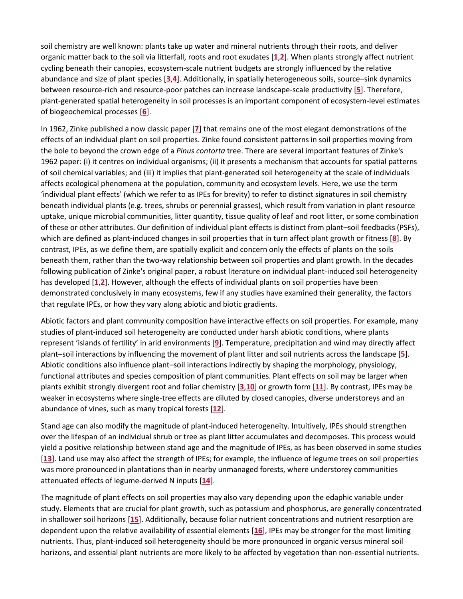soil chemistry are well known: plants take up water and mineral nutrients through their roots, and deliver organic matter back to the soil via litterfall, roots and root exudates [**[1](https://royalsocietypublishing.org/doi/full/10.1098/rspb.2015.1001#RSPB20151001C1)**,**[2](https://royalsocietypublishing.org/doi/full/10.1098/rspb.2015.1001#RSPB20151001C2)**]. When plants strongly affect nutrient cycling beneath their canopies, ecosystem-scale nutrient budgets are strongly influenced by the relative abundance and size of plant species [**[3](https://royalsocietypublishing.org/doi/full/10.1098/rspb.2015.1001#RSPB20151001C3)**,**[4](https://royalsocietypublishing.org/doi/full/10.1098/rspb.2015.1001#RSPB20151001C4)**]. Additionally, in spatially heterogeneous soils, source–sink dynamics between resource-rich and resource-poor patches can increase landscape-scale productivity [**[5](https://royalsocietypublishing.org/doi/full/10.1098/rspb.2015.1001#RSPB20151001C5)**]. Therefore, plant-generated spatial heterogeneity in soil processes is an important component of ecosystem-level estimates of biogeochemical processes [**[6](https://royalsocietypublishing.org/doi/full/10.1098/rspb.2015.1001#RSPB20151001C6)**].

In 1962, Zinke published a now classic paper [**[7](https://royalsocietypublishing.org/doi/full/10.1098/rspb.2015.1001#RSPB20151001C7)**] that remains one of the most elegant demonstrations of the effects of an individual plant on soil properties. Zinke found consistent patterns in soil properties moving from the bole to beyond the crown edge of a *Pinus contorta* tree. There are several important features of Zinke's 1962 paper: (i) it centres on individual organisms; (ii) it presents a mechanism that accounts for spatial patterns of soil chemical variables; and (iii) it implies that plant-generated soil heterogeneity at the scale of individuals affects ecological phenomena at the population, community and ecosystem levels. Here, we use the term 'individual plant effects' (which we refer to as IPEs for brevity) to refer to distinct signatures in soil chemistry beneath individual plants (e.g. trees, shrubs or perennial grasses), which result from variation in plant resource uptake, unique microbial communities, litter quantity, tissue quality of leaf and root litter, or some combination of these or other attributes. Our definition of individual plant effects is distinct from plant–soil feedbacks (PSFs), which are defined as plant-induced changes in soil properties that in turn affect plant growth or fitness [**[8](https://royalsocietypublishing.org/doi/full/10.1098/rspb.2015.1001#RSPB20151001C8)**]. By contrast, IPEs, as we define them, are spatially explicit and concern only the effects of plants on the soils beneath them, rather than the two-way relationship between soil properties and plant growth. In the decades following publication of Zinke's original paper, a robust literature on individual plant-induced soil heterogeneity has developed [**[1](https://royalsocietypublishing.org/doi/full/10.1098/rspb.2015.1001#RSPB20151001C1)**,**[2](https://royalsocietypublishing.org/doi/full/10.1098/rspb.2015.1001#RSPB20151001C2)**]. However, although the effects of individual plants on soil properties have been demonstrated conclusively in many ecosystems, few if any studies have examined their generality, the factors that regulate IPEs, or how they vary along abiotic and biotic gradients.

Abiotic factors and plant community composition have interactive effects on soil properties. For example, many studies of plant-induced soil heterogeneity are conducted under harsh abiotic conditions, where plants represent 'islands of fertility' in arid environments [**[9](https://royalsocietypublishing.org/doi/full/10.1098/rspb.2015.1001#RSPB20151001C9)**]. Temperature, precipitation and wind may directly affect plant–soil interactions by influencing the movement of plant litter and soil nutrients across the landscape [**[5](https://royalsocietypublishing.org/doi/full/10.1098/rspb.2015.1001#RSPB20151001C5)**]. Abiotic conditions also influence plant–soil interactions indirectly by shaping the morphology, physiology, functional attributes and species composition of plant communities. Plant effects on soil may be larger when plants exhibit strongly divergent root and foliar chemistry [**[3](https://royalsocietypublishing.org/doi/full/10.1098/rspb.2015.1001#RSPB20151001C3)**,**[10](https://royalsocietypublishing.org/doi/full/10.1098/rspb.2015.1001#RSPB20151001C10)**] or growth form [**[11](https://royalsocietypublishing.org/doi/full/10.1098/rspb.2015.1001#RSPB20151001C11)**]. By contrast, IPEs may be weaker in ecosystems where single-tree effects are diluted by closed canopies, diverse understoreys and an abundance of vines, such as many tropical forests [**[12](https://royalsocietypublishing.org/doi/full/10.1098/rspb.2015.1001#RSPB20151001C12)**].

Stand age can also modify the magnitude of plant-induced heterogeneity. Intuitively, IPEs should strengthen over the lifespan of an individual shrub or tree as plant litter accumulates and decomposes. This process would yield a positive relationship between stand age and the magnitude of IPEs, as has been observed in some studies [**[13](https://royalsocietypublishing.org/doi/full/10.1098/rspb.2015.1001#RSPB20151001C13)**]. Land use may also affect the strength of IPEs; for example, the influence of legume trees on soil properties was more pronounced in plantations than in nearby unmanaged forests, where understorey communities attenuated effects of legume-derived N inputs [**[14](https://royalsocietypublishing.org/doi/full/10.1098/rspb.2015.1001#RSPB20151001C14)**].

The magnitude of plant effects on soil properties may also vary depending upon the edaphic variable under study. Elements that are crucial for plant growth, such as potassium and phosphorus, are generally concentrated in shallower soil horizons [**[15](https://royalsocietypublishing.org/doi/full/10.1098/rspb.2015.1001#RSPB20151001C15)**]. Additionally, because foliar nutrient concentrations and nutrient resorption are dependent upon the relative availability of essential elements [**[16](https://royalsocietypublishing.org/doi/full/10.1098/rspb.2015.1001#RSPB20151001C16)**], IPEs may be stronger for the most limiting nutrients. Thus, plant-induced soil heterogeneity should be more pronounced in organic versus mineral soil horizons, and essential plant nutrients are more likely to be affected by vegetation than non-essential nutrients.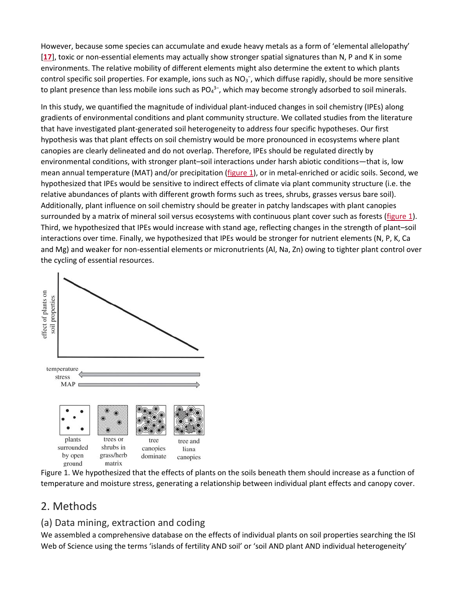However, because some species can accumulate and exude heavy metals as a form of 'elemental allelopathy' [**[17](https://royalsocietypublishing.org/doi/full/10.1098/rspb.2015.1001#RSPB20151001C17)**], toxic or non-essential elements may actually show stronger spatial signatures than N, P and K in some environments. The relative mobility of different elements might also determine the extent to which plants control specific soil properties. For example, ions such as  $NO<sub>3</sub>$ , which diffuse rapidly, should be more sensitive to plant presence than less mobile ions such as PO<sub>4</sub><sup>3-</sup>, which may become strongly adsorbed to soil minerals.

In this study, we quantified the magnitude of individual plant-induced changes in soil chemistry (IPEs) along gradients of environmental conditions and plant community structure. We collated studies from the literature that have investigated plant-generated soil heterogeneity to address four specific hypotheses. Our first hypothesis was that plant effects on soil chemistry would be more pronounced in ecosystems where plant canopies are clearly delineated and do not overlap. Therefore, IPEs should be regulated directly by environmental conditions, with stronger plant–soil interactions under harsh abiotic conditions—that is, low mean annual temperature (MAT) and/or precipitation (*figure 1*), or in metal-enriched or acidic soils. Second, we hypothesized that IPEs would be sensitive to indirect effects of climate via plant community structure (i.e. the relative abundances of plants with different growth forms such as trees, shrubs, grasses versus bare soil). Additionally, plant influence on soil chemistry should be greater in patchy landscapes with plant canopies surrounded by a matrix of mineral soil versus ecosystems with continuous plant cover such as forests [\(figure](https://royalsocietypublishing.org/doi/full/10.1098/rspb.2015.1001#RSPB20151001F1) 1). Third, we hypothesized that IPEs would increase with stand age, reflecting changes in the strength of plant–soil interactions over time. Finally, we hypothesized that IPEs would be stronger for nutrient elements (N, P, K, Ca and Mg) and weaker for non-essential elements or micronutrients (Al, Na, Zn) owing to tighter plant control over the cycling of essential resources.



Figure 1. We hypothesized that the effects of plants on the soils beneath them should increase as a function of temperature and moisture stress, generating a relationship between individual plant effects and canopy cover.

# 2. Methods

## (a) Data mining, extraction and coding

We assembled a comprehensive database on the effects of individual plants on soil properties searching the ISI Web of Science using the terms 'islands of fertility AND soil' or 'soil AND plant AND individual heterogeneity'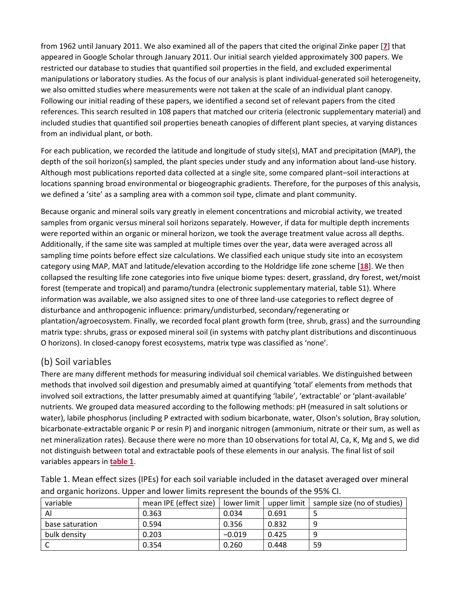from 1962 until January 2011. We also examined all of the papers that cited the original Zinke paper [**[7](https://royalsocietypublishing.org/doi/full/10.1098/rspb.2015.1001#RSPB20151001C7)**] that appeared in Google Scholar through January 2011. Our initial search yielded approximately 300 papers. We restricted our database to studies that quantified soil properties in the field, and excluded experimental manipulations or laboratory studies. As the focus of our analysis is plant individual-generated soil heterogeneity, we also omitted studies where measurements were not taken at the scale of an individual plant canopy. Following our initial reading of these papers, we identified a second set of relevant papers from the cited references. This search resulted in 108 papers that matched our criteria (electronic supplementary material) and included studies that quantified soil properties beneath canopies of different plant species, at varying distances from an individual plant, or both.

For each publication, we recorded the latitude and longitude of study site(s), MAT and precipitation (MAP), the depth of the soil horizon(s) sampled, the plant species under study and any information about land-use history. Although most publications reported data collected at a single site, some compared plant–soil interactions at locations spanning broad environmental or biogeographic gradients. Therefore, for the purposes of this analysis, we defined a 'site' as a sampling area with a common soil type, climate and plant community.

Because organic and mineral soils vary greatly in element concentrations and microbial activity, we treated samples from organic versus mineral soil horizons separately. However, if data for multiple depth increments were reported within an organic or mineral horizon, we took the average treatment value across all depths. Additionally, if the same site was sampled at multiple times over the year, data were averaged across all sampling time points before effect size calculations. We classified each unique study site into an ecosystem category using MAP, MAT and latitude/elevation according to the Holdridge life zone scheme [**[18](https://royalsocietypublishing.org/doi/full/10.1098/rspb.2015.1001#RSPB20151001C18)**]. We then collapsed the resulting life zone categories into five unique biome types: desert, grassland, dry forest, wet/moist forest (temperate and tropical) and paramo/tundra (electronic supplementary material, table S1). Where information was available, we also assigned sites to one of three land-use categories to reflect degree of disturbance and anthropogenic influence: primary/undisturbed, secondary/regenerating or plantation/agroecosystem. Finally, we recorded focal plant growth form (tree, shrub, grass) and the surrounding matrix type: shrubs, grass or exposed mineral soil (in systems with patchy plant distributions and discontinuous O horizons). In closed-canopy forest ecosystems, matrix type was classified as 'none'.

#### (b) Soil variables

There are many different methods for measuring individual soil chemical variables. We distinguished between methods that involved soil digestion and presumably aimed at quantifying 'total' elements from methods that involved soil extractions, the latter presumably aimed at quantifying 'labile', 'extractable' or 'plant-available' nutrients. We grouped data measured according to the following methods: pH (measured in salt solutions or water), labile phosphorus (including P extracted with sodium bicarbonate, water, Olson's solution, Bray solution, bicarbonate-extractable organic P or resin P) and inorganic nitrogen (ammonium, nitrate or their sum, as well as net mineralization rates). Because there were no more than 10 observations for total Al, Ca, K, Mg and S, we did not distinguish between total and extractable pools of these elements in our analysis. The final list of soil variables appears in **[table 1](https://royalsocietypublishing.org/doi/full/10.1098/rspb.2015.1001#RSPB20151001TB1)**.

| variable        | mean IPE (effect size) |          |       | lower limit   upper limit   sample size (no of studies) |  |  |
|-----------------|------------------------|----------|-------|---------------------------------------------------------|--|--|
| Al              | 0.363                  | 0.034    | 0.691 |                                                         |  |  |
| base saturation | 0.594                  | 0.356    | 0.832 |                                                         |  |  |
| bulk density    | 0.203                  | $-0.019$ | 0.425 |                                                         |  |  |
|                 | 0.354                  | 0.260    | 0.448 | 59                                                      |  |  |

Table 1. Mean effect sizes (IPEs) for each soil variable included in the dataset averaged over mineral and organic horizons. Upper and lower limits represent the bounds of the 95% CI.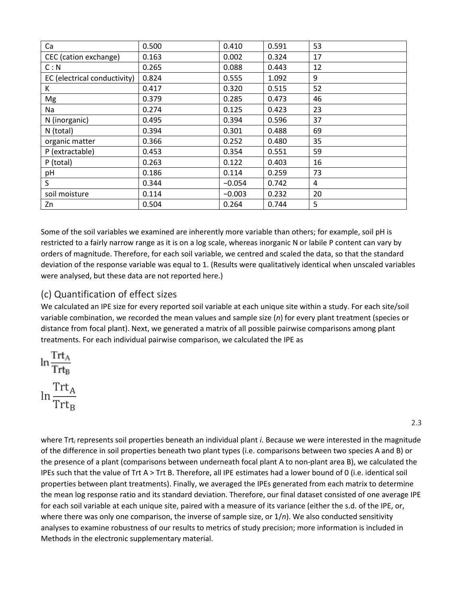| Ca                           | 0.500 | 0.410    | 0.591 | 53 |
|------------------------------|-------|----------|-------|----|
| CEC (cation exchange)        | 0.163 | 0.002    | 0.324 | 17 |
| C: N                         | 0.265 | 0.088    | 0.443 | 12 |
| EC (electrical conductivity) | 0.824 | 0.555    | 1.092 | 9  |
| K                            | 0.417 | 0.320    | 0.515 | 52 |
| Mg                           | 0.379 | 0.285    | 0.473 | 46 |
| Na                           | 0.274 | 0.125    | 0.423 | 23 |
| N (inorganic)                | 0.495 | 0.394    | 0.596 | 37 |
| N (total)                    | 0.394 | 0.301    | 0.488 | 69 |
| organic matter               | 0.366 | 0.252    | 0.480 | 35 |
| P (extractable)              | 0.453 | 0.354    | 0.551 | 59 |
| P (total)                    | 0.263 | 0.122    | 0.403 | 16 |
| pH                           | 0.186 | 0.114    | 0.259 | 73 |
| S                            | 0.344 | $-0.054$ | 0.742 | 4  |
| soil moisture                | 0.114 | $-0.003$ | 0.232 | 20 |
| Zn                           | 0.504 | 0.264    | 0.744 | 5  |

Some of the soil variables we examined are inherently more variable than others; for example, soil pH is restricted to a fairly narrow range as it is on a log scale, whereas inorganic N or labile P content can vary by orders of magnitude. Therefore, for each soil variable, we centred and scaled the data, so that the standard deviation of the response variable was equal to 1. (Results were qualitatively identical when unscaled variables were analysed, but these data are not reported here.)

#### (c) Quantification of effect sizes

We calculated an IPE size for every reported soil variable at each unique site within a study. For each site/soil variable combination, we recorded the mean values and sample size (*n*) for every plant treatment (species or distance from focal plant). Next, we generated a matrix of all possible pairwise comparisons among plant treatments. For each individual pairwise comparison, we calculated the IPE as

$$
\ln \frac{\text{Trt}_{A}}{\text{Trt}_{B}}
$$

$$
\ln \frac{\text{Trt}_{A}}{\text{Trt}_{B}}
$$

2.3

where Trt*<sup>i</sup>* represents soil properties beneath an individual plant *i*. Because we were interested in the magnitude of the difference in soil properties beneath two plant types (i.e. comparisons between two species A and B) or the presence of a plant (comparisons between underneath focal plant A to non-plant area B), we calculated the IPEs such that the value of Trt A > Trt B. Therefore, all IPE estimates had a lower bound of 0 (i.e. identical soil properties between plant treatments). Finally, we averaged the IPEs generated from each matrix to determine the mean log response ratio and its standard deviation. Therefore, our final dataset consisted of one average IPE for each soil variable at each unique site, paired with a measure of its variance (either the s.d. of the IPE, or, where there was only one comparison, the inverse of sample size, or 1/*n*). We also conducted sensitivity analyses to examine robustness of our results to metrics of study precision; more information is included in Methods in the electronic supplementary material.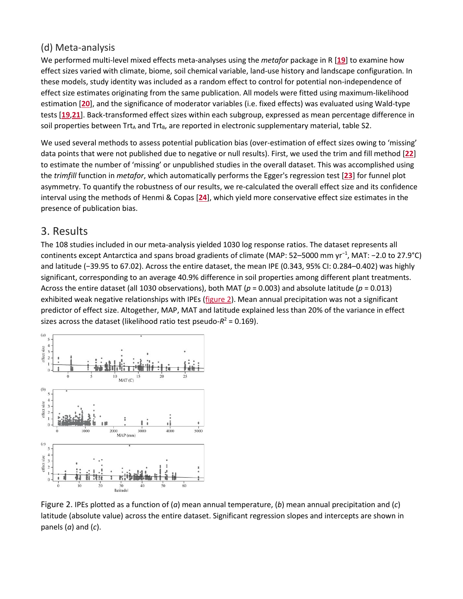#### (d) Meta-analysis

We performed multi-level mixed effects meta-analyses using the *metafor* package in R [**[19](https://royalsocietypublishing.org/doi/full/10.1098/rspb.2015.1001#RSPB20151001C19)**] to examine how effect sizes varied with climate, biome, soil chemical variable, land-use history and landscape configuration. In these models, study identity was included as a random effect to control for potential non-independence of effect size estimates originating from the same publication. All models were fitted using maximum-likelihood estimation [**[20](https://royalsocietypublishing.org/doi/full/10.1098/rspb.2015.1001#RSPB20151001C20)**], and the significance of moderator variables (i.e. fixed effects) was evaluated using Wald-type tests [**[19](https://royalsocietypublishing.org/doi/full/10.1098/rspb.2015.1001#RSPB20151001C19)**,**[21](https://royalsocietypublishing.org/doi/full/10.1098/rspb.2015.1001#RSPB20151001C21)**]. Back-transformed effect sizes within each subgroup, expressed as mean percentage difference in soil properties between Trt<sub>A</sub> and Trt<sub>B</sub>, are reported in electronic supplementary material, table S2.

We used several methods to assess potential publication bias (over-estimation of effect sizes owing to 'missing' data points that were not published due to negative or null results). First, we used the trim and fill method [**[22](https://royalsocietypublishing.org/doi/full/10.1098/rspb.2015.1001#RSPB20151001C22)**] to estimate the number of 'missing' or unpublished studies in the overall dataset. This was accomplished using the *trimfill* function in *metafor*, which automatically performs the Egger's regression test [**[23](https://royalsocietypublishing.org/doi/full/10.1098/rspb.2015.1001#RSPB20151001C23)**] for funnel plot asymmetry. To quantify the robustness of our results, we re-calculated the overall effect size and its confidence interval using the methods of Henmi & Copas [**[24](https://royalsocietypublishing.org/doi/full/10.1098/rspb.2015.1001#RSPB20151001C24)**], which yield more conservative effect size estimates in the presence of publication bias.

#### 3. Results

The 108 studies included in our meta-analysis yielded 1030 log response ratios. The dataset represents all continents except Antarctica and spans broad gradients of climate (MAP: 52–5000 mm yr<sup>-1</sup>, MAT: -2.0 to 27.9°C) and latitude (−39.95 to 67.02). Across the entire dataset, the mean IPE (0.343, 95% CI: 0.284–0.402) was highly significant, corresponding to an average 40.9% difference in soil properties among different plant treatments. Across the entire dataset (all 1030 observations), both MAT ( $p = 0.003$ ) and absolute latitude ( $p = 0.013$ ) exhibited weak negative relationships with IPEs [\(figure](https://royalsocietypublishing.org/doi/full/10.1098/rspb.2015.1001#RSPB20151001F2) 2). Mean annual precipitation was not a significant predictor of effect size. Altogether, MAP, MAT and latitude explained less than 20% of the variance in effect sizes across the dataset (likelihood ratio test pseudo- $R^2$  = 0.169).



Figure 2. IPEs plotted as a function of (*a*) mean annual temperature, (*b*) mean annual precipitation and (*c*) latitude (absolute value) across the entire dataset. Significant regression slopes and intercepts are shown in panels (*a*) and (*c*).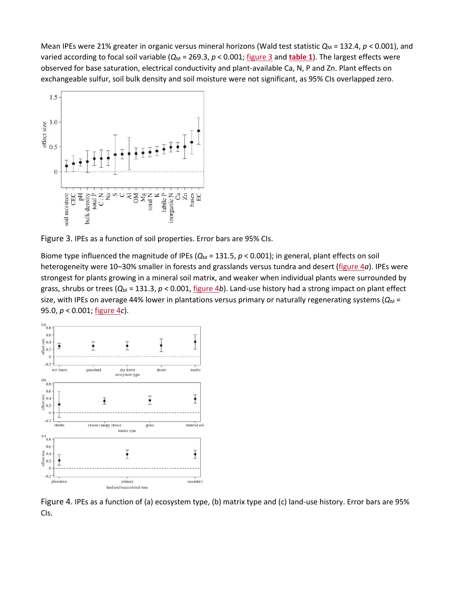Mean IPEs were 21% greater in organic versus mineral horizons (Wald test statistic  $Q_M$  = 132.4,  $p$  < 0.001), and varied according to focal soil variable ( $Q_M$  = 269.3,  $p$  < 0.001; [figure](https://royalsocietypublishing.org/doi/full/10.1098/rspb.2015.1001#RSPB20151001F3) 3 and **[table 1](https://royalsocietypublishing.org/doi/full/10.1098/rspb.2015.1001#RSPB20151001TB1)**). The largest effects were observed for base saturation, electrical conductivity and plant-available Ca, N, P and Zn. Plant effects on exchangeable sulfur, soil bulk density and soil moisture were not significant, as 95% CIs overlapped zero.



Figure 3. IPEs as a function of soil properties. Error bars are 95% CIs.

Biome type influenced the magnitude of IPEs ( $Q_M$  = 131.5,  $p$  < 0.001); in general, plant effects on soil heterogeneity were 10–30% smaller in forests and grasslands versus tundra and desert [\(figure](https://royalsocietypublishing.org/doi/full/10.1098/rspb.2015.1001#RSPB20151001F4) 4*a*). IPEs were strongest for plants growing in a mineral soil matrix, and weaker when individual plants were surrounded by grass, shrubs or trees  $(Q_M = 131.3, p < 0.001$ , [figure](https://royalsocietypublishing.org/doi/full/10.1098/rspb.2015.1001#RSPB20151001F4) 4*b*). Land-use history had a strong impact on plant effect size, with IPEs on average 44% lower in plantations versus primary or naturally regenerating systems ( $Q_M$  = 95.0, *p* < 0.001; [figure](https://royalsocietypublishing.org/doi/full/10.1098/rspb.2015.1001#RSPB20151001F4) 4*c*).



Figure 4. IPEs as a function of (a) ecosystem type, (b) matrix type and (c) land-use history. Error bars are 95% CIs.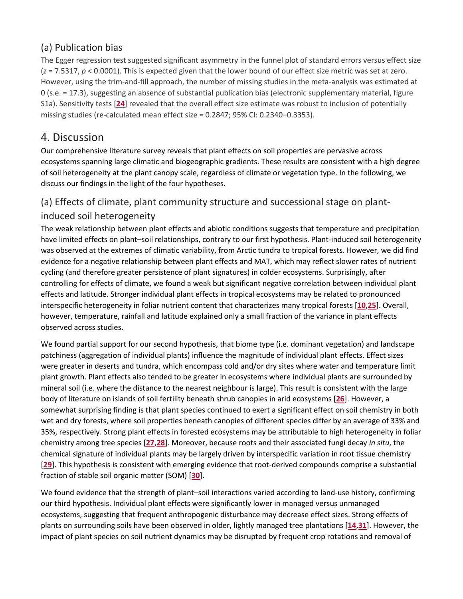#### (a) Publication bias

The Egger regression test suggested significant asymmetry in the funnel plot of standard errors versus effect size (*z* = 7.5317, *p* < 0.0001). This is expected given that the lower bound of our effect size metric was set at zero. However, using the trim-and-fill approach, the number of missing studies in the meta-analysis was estimated at 0 (s.e. = 17.3), suggesting an absence of substantial publication bias (electronic supplementary material, figure S1a). Sensitivity tests [**[24](https://royalsocietypublishing.org/doi/full/10.1098/rspb.2015.1001#RSPB20151001C24)**] revealed that the overall effect size estimate was robust to inclusion of potentially missing studies (re-calculated mean effect size = 0.2847; 95% CI: 0.2340–0.3353).

## 4. Discussion

Our comprehensive literature survey reveals that plant effects on soil properties are pervasive across ecosystems spanning large climatic and biogeographic gradients. These results are consistent with a high degree of soil heterogeneity at the plant canopy scale, regardless of climate or vegetation type. In the following, we discuss our findings in the light of the four hypotheses.

# (a) Effects of climate, plant community structure and successional stage on plantinduced soil heterogeneity

The weak relationship between plant effects and abiotic conditions suggests that temperature and precipitation have limited effects on plant–soil relationships, contrary to our first hypothesis. Plant-induced soil heterogeneity was observed at the extremes of climatic variability, from Arctic tundra to tropical forests. However, we did find evidence for a negative relationship between plant effects and MAT, which may reflect slower rates of nutrient cycling (and therefore greater persistence of plant signatures) in colder ecosystems. Surprisingly, after controlling for effects of climate, we found a weak but significant negative correlation between individual plant effects and latitude. Stronger individual plant effects in tropical ecosystems may be related to pronounced interspecific heterogeneity in foliar nutrient content that characterizes many tropical forests [**[10](https://royalsocietypublishing.org/doi/full/10.1098/rspb.2015.1001#RSPB20151001C10)**,**[25](https://royalsocietypublishing.org/doi/full/10.1098/rspb.2015.1001#RSPB20151001C25)**]. Overall, however, temperature, rainfall and latitude explained only a small fraction of the variance in plant effects observed across studies.

We found partial support for our second hypothesis, that biome type (i.e. dominant vegetation) and landscape patchiness (aggregation of individual plants) influence the magnitude of individual plant effects. Effect sizes were greater in deserts and tundra, which encompass cold and/or dry sites where water and temperature limit plant growth. Plant effects also tended to be greater in ecosystems where individual plants are surrounded by mineral soil (i.e. where the distance to the nearest neighbour is large). This result is consistent with the large body of literature on islands of soil fertility beneath shrub canopies in arid ecosystems [**[26](https://royalsocietypublishing.org/doi/full/10.1098/rspb.2015.1001#RSPB20151001C26)**]. However, a somewhat surprising finding is that plant species continued to exert a significant effect on soil chemistry in both wet and dry forests, where soil properties beneath canopies of different species differ by an average of 33% and 35%, respectively. Strong plant effects in forested ecosystems may be attributable to high heterogeneity in foliar chemistry among tree species [**[27](https://royalsocietypublishing.org/doi/full/10.1098/rspb.2015.1001#RSPB20151001C27)**,**[28](https://royalsocietypublishing.org/doi/full/10.1098/rspb.2015.1001#RSPB20151001C28)**]. Moreover, because roots and their associated fungi decay *in situ*, the chemical signature of individual plants may be largely driven by interspecific variation in root tissue chemistry [**[29](https://royalsocietypublishing.org/doi/full/10.1098/rspb.2015.1001#RSPB20151001C29)**]. This hypothesis is consistent with emerging evidence that root-derived compounds comprise a substantial fraction of stable soil organic matter (SOM) [**[30](https://royalsocietypublishing.org/doi/full/10.1098/rspb.2015.1001#RSPB20151001C30)**].

We found evidence that the strength of plant–soil interactions varied according to land-use history, confirming our third hypothesis. Individual plant effects were significantly lower in managed versus unmanaged ecosystems, suggesting that frequent anthropogenic disturbance may decrease effect sizes. Strong effects of plants on surrounding soils have been observed in older, lightly managed tree plantations [**[14](https://royalsocietypublishing.org/doi/full/10.1098/rspb.2015.1001#RSPB20151001C14)**,**[31](https://royalsocietypublishing.org/doi/full/10.1098/rspb.2015.1001#RSPB20151001C31)**]. However, the impact of plant species on soil nutrient dynamics may be disrupted by frequent crop rotations and removal of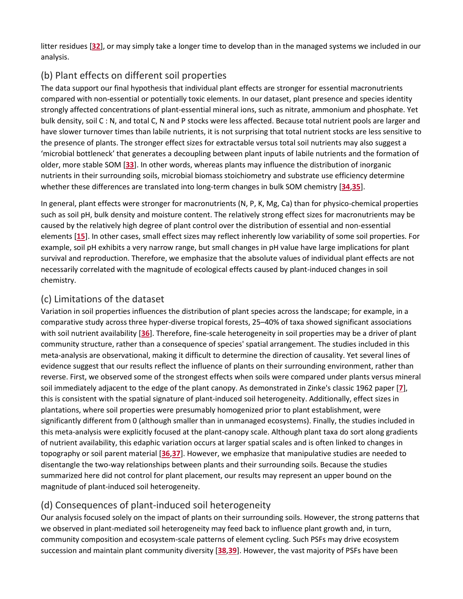litter residues [**[32](https://royalsocietypublishing.org/doi/full/10.1098/rspb.2015.1001#RSPB20151001C32)**], or may simply take a longer time to develop than in the managed systems we included in our analysis.

## (b) Plant effects on different soil properties

The data support our final hypothesis that individual plant effects are stronger for essential macronutrients compared with non-essential or potentially toxic elements. In our dataset, plant presence and species identity strongly affected concentrations of plant-essential mineral ions, such as nitrate, ammonium and phosphate. Yet bulk density, soil C : N, and total C, N and P stocks were less affected. Because total nutrient pools are larger and have slower turnover times than labile nutrients, it is not surprising that total nutrient stocks are less sensitive to the presence of plants. The stronger effect sizes for extractable versus total soil nutrients may also suggest a 'microbial bottleneck' that generates a decoupling between plant inputs of labile nutrients and the formation of older, more stable SOM [**[33](https://royalsocietypublishing.org/doi/full/10.1098/rspb.2015.1001#RSPB20151001C33)**]. In other words, whereas plants may influence the distribution of inorganic nutrients in their surrounding soils, microbial biomass stoichiometry and substrate use efficiency determine whether these differences are translated into long-term changes in bulk SOM chemistry [**[34](https://royalsocietypublishing.org/doi/full/10.1098/rspb.2015.1001#RSPB20151001C34)**,**[35](https://royalsocietypublishing.org/doi/full/10.1098/rspb.2015.1001#RSPB20151001C35)**].

In general, plant effects were stronger for macronutrients (N, P, K, Mg, Ca) than for physico-chemical properties such as soil pH, bulk density and moisture content. The relatively strong effect sizes for macronutrients may be caused by the relatively high degree of plant control over the distribution of essential and non-essential elements [**[15](https://royalsocietypublishing.org/doi/full/10.1098/rspb.2015.1001#RSPB20151001C15)**]. In other cases, small effect sizes may reflect inherently low variability of some soil properties. For example, soil pH exhibits a very narrow range, but small changes in pH value have large implications for plant survival and reproduction. Therefore, we emphasize that the absolute values of individual plant effects are not necessarily correlated with the magnitude of ecological effects caused by plant-induced changes in soil chemistry.

#### (c) Limitations of the dataset

Variation in soil properties influences the distribution of plant species across the landscape; for example, in a comparative study across three hyper-diverse tropical forests, 25–40% of taxa showed significant associations with soil nutrient availability [**[36](https://royalsocietypublishing.org/doi/full/10.1098/rspb.2015.1001#RSPB20151001C36)**]. Therefore, fine-scale heterogeneity in soil properties may be a driver of plant community structure, rather than a consequence of species' spatial arrangement. The studies included in this meta-analysis are observational, making it difficult to determine the direction of causality. Yet several lines of evidence suggest that our results reflect the influence of plants on their surrounding environment, rather than reverse. First, we observed some of the strongest effects when soils were compared under plants versus mineral soil immediately adjacent to the edge of the plant canopy. As demonstrated in Zinke's classic 1962 paper [**[7](https://royalsocietypublishing.org/doi/full/10.1098/rspb.2015.1001#RSPB20151001C7)**], this is consistent with the spatial signature of plant-induced soil heterogeneity. Additionally, effect sizes in plantations, where soil properties were presumably homogenized prior to plant establishment, were significantly different from 0 (although smaller than in unmanaged ecosystems). Finally, the studies included in this meta-analysis were explicitly focused at the plant-canopy scale. Although plant taxa do sort along gradients of nutrient availability, this edaphic variation occurs at larger spatial scales and is often linked to changes in topography or soil parent material [**[36](https://royalsocietypublishing.org/doi/full/10.1098/rspb.2015.1001#RSPB20151001C36)**,**[37](https://royalsocietypublishing.org/doi/full/10.1098/rspb.2015.1001#RSPB20151001C37)**]. However, we emphasize that manipulative studies are needed to disentangle the two-way relationships between plants and their surrounding soils. Because the studies summarized here did not control for plant placement, our results may represent an upper bound on the magnitude of plant-induced soil heterogeneity.

#### (d) Consequences of plant-induced soil heterogeneity

Our analysis focused solely on the impact of plants on their surrounding soils. However, the strong patterns that we observed in plant-mediated soil heterogeneity may feed back to influence plant growth and, in turn, community composition and ecosystem-scale patterns of element cycling. Such PSFs may drive ecosystem succession and maintain plant community diversity [**[38](https://royalsocietypublishing.org/doi/full/10.1098/rspb.2015.1001#RSPB20151001C38)**,**[39](https://royalsocietypublishing.org/doi/full/10.1098/rspb.2015.1001#RSPB20151001C39)**]. However, the vast majority of PSFs have been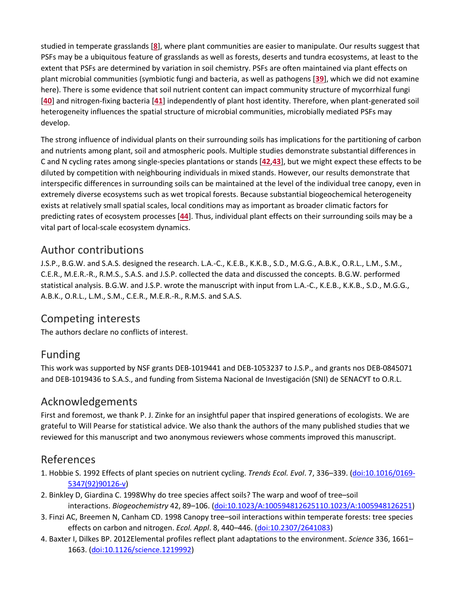studied in temperate grasslands [**[8](https://royalsocietypublishing.org/doi/full/10.1098/rspb.2015.1001#RSPB20151001C8)**], where plant communities are easier to manipulate. Our results suggest that PSFs may be a ubiquitous feature of grasslands as well as forests, deserts and tundra ecosystems, at least to the extent that PSFs are determined by variation in soil chemistry. PSFs are often maintained via plant effects on plant microbial communities (symbiotic fungi and bacteria, as well as pathogens [**[39](https://royalsocietypublishing.org/doi/full/10.1098/rspb.2015.1001#RSPB20151001C39)**], which we did not examine here). There is some evidence that soil nutrient content can impact community structure of mycorrhizal fungi [**[40](https://royalsocietypublishing.org/doi/full/10.1098/rspb.2015.1001#RSPB20151001C40)**] and nitrogen-fixing bacteria [**[41](https://royalsocietypublishing.org/doi/full/10.1098/rspb.2015.1001#RSPB20151001C41)**] independently of plant host identity. Therefore, when plant-generated soil heterogeneity influences the spatial structure of microbial communities, microbially mediated PSFs may develop.

The strong influence of individual plants on their surrounding soils has implications for the partitioning of carbon and nutrients among plant, soil and atmospheric pools. Multiple studies demonstrate substantial differences in C and N cycling rates among single-species plantations or stands [**[42](https://royalsocietypublishing.org/doi/full/10.1098/rspb.2015.1001#RSPB20151001C42)**,**[43](https://royalsocietypublishing.org/doi/full/10.1098/rspb.2015.1001#RSPB20151001C43)**], but we might expect these effects to be diluted by competition with neighbouring individuals in mixed stands. However, our results demonstrate that interspecific differences in surrounding soils can be maintained at the level of the individual tree canopy, even in extremely diverse ecosystems such as wet tropical forests. Because substantial biogeochemical heterogeneity exists at relatively small spatial scales, local conditions may as important as broader climatic factors for predicting rates of ecosystem processes [**[44](https://royalsocietypublishing.org/doi/full/10.1098/rspb.2015.1001#RSPB20151001C44)**]. Thus, individual plant effects on their surrounding soils may be a vital part of local-scale ecosystem dynamics.

## Author contributions

J.S.P., B.G.W. and S.A.S. designed the research. L.A.-C., K.E.B., K.K.B., S.D., M.G.G., A.B.K., O.R.L., L.M., S.M., C.E.R., M.E.R.-R., R.M.S., S.A.S. and J.S.P. collected the data and discussed the concepts. B.G.W. performed statistical analysis. B.G.W. and J.S.P. wrote the manuscript with input from L.A.-C., K.E.B., K.K.B., S.D., M.G.G., A.B.K., O.R.L., L.M., S.M., C.E.R., M.E.R.-R., R.M.S. and S.A.S.

# Competing interests

The authors declare no conflicts of interest.

# Funding

This work was supported by NSF grants DEB-1019441 and DEB-1053237 to J.S.P., and grants nos DEB-0845071 and DEB-1019436 to S.A.S., and funding from Sistema Nacional de Investigación (SNI) de SENACYT to O.R.L.

# Acknowledgements

First and foremost, we thank P. J. Zinke for an insightful paper that inspired generations of ecologists. We are grateful to Will Pearse for statistical advice. We also thank the authors of the many published studies that we reviewed for this manuscript and two anonymous reviewers whose comments improved this manuscript.

## References

- 1. Hobbie S. 1992 Effects of plant species on nutrient cycling. *Trends Ecol. Evol*. 7, 336–339. [\(doi:10.1016/0169-](http://dx.doi.org/10.1016/0169-5347(92)90126-v) [5347\(92\)90126-v\)](http://dx.doi.org/10.1016/0169-5347(92)90126-v)
- 2. Binkley D, Giardina C. 1998Why do tree species affect soils? The warp and woof of tree–soil interactions. *Biogeochemistry* 42, 89–106. [\(doi:10.1023/A:100594812625110.1023/A:1005948126251\)](http://dx.doi.org/10.1023/A:100594812625110.1023/A:1005948126251)
- 3. Finzi AC, Breemen N, Canham CD. 1998 Canopy tree–soil interactions within temperate forests: tree species effects on carbon and nitrogen. *Ecol. Appl*. 8, 440–446. [\(doi:10.2307/2641083\)](http://dx.doi.org/10.2307/2641083)
- 4. Baxter I, Dilkes BP. 2012Elemental profiles reflect plant adaptations to the environment. *Science* 336, 1661– 1663. [\(doi:10.1126/science.1219992\)](http://dx.doi.org/10.1126/science.1219992)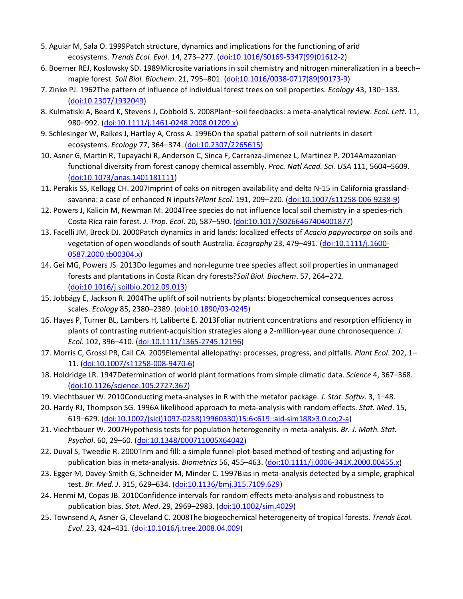- 5. Aguiar M, Sala O. 1999Patch structure, dynamics and implications for the functioning of arid ecosystems. *Trends Ecol. Evol*. 14, 273–277. [\(doi:10.1016/S0169-5347\(99\)01612-2\)](http://dx.doi.org/10.1016/S0169-5347(99)01612-2)
- 6. Boerner REJ, Koslowsky SD. 1989Microsite variations in soil chemistry and nitrogen mineralization in a beech– maple forest. *Soil Biol. Biochem*. 21, 795–801. [\(doi:10.1016/0038-0717\(89\)90173-9\)](http://dx.doi.org/10.1016/0038-0717(89)90173-9)
- 7. Zinke PJ. 1962The pattern of influence of individual forest trees on soil properties. *Ecology* 43, 130–133. [\(doi:10.2307/1932049\)](http://dx.doi.org/10.2307/1932049)
- 8. Kulmatiski A, Beard K, Stevens J, Cobbold S. 2008Plant–soil feedbacks: a meta-analytical review. *Ecol. Lett*. 11, 980–992. [\(doi:10.1111/j.1461-0248.2008.01209.x\)](http://dx.doi.org/10.1111/j.1461-0248.2008.01209.x)
- 9. Schlesinger W, Raikes J, Hartley A, Cross A. 1996On the spatial pattern of soil nutrients in desert ecosystems. *Ecology* 77, 364–374. [\(doi:10.2307/2265615\)](http://dx.doi.org/10.2307/2265615)
- 10. Asner G, Martin R, Tupayachi R, Anderson C, Sinca F, Carranza-Jimenez L, Martinez P. 2014Amazonian functional diversity from forest canopy chemical assembly. *Proc. Natl Acad. Sci. USA* 111, 5604–5609. [\(doi:10.1073/pnas.1401181111\)](http://dx.doi.org/10.1073/pnas.1401181111)
- 11. Perakis SS, Kellogg CH. 2007Imprint of oaks on nitrogen availability and delta N-15 in California grasslandsavanna: a case of enhanced N inputs?*Plant Ecol*. 191, 209–220. [\(doi:10.1007/s11258-006-9238-9\)](http://dx.doi.org/10.1007/s11258-006-9238-9)
- 12. Powers J, Kalicin M, Newman M. 2004Tree species do not influence local soil chemistry in a species-rich Costa Rica rain forest. *J. Trop. Ecol*. 20, 587–590. [\(doi:10.1017/S0266467404001877\)](http://dx.doi.org/10.1017/S0266467404001877)
- 13. Facelli JM, Brock DJ. 2000Patch dynamics in arid lands: localized effects of *Acacia papyrocarpa* on soils and vegetation of open woodlands of south Australia. *Ecography* 23, 479–491. [\(doi:10.1111/j.1600-](http://dx.doi.org/10.1111/j.1600-0587.2000.tb00304.x) [0587.2000.tb00304.x\)](http://dx.doi.org/10.1111/j.1600-0587.2000.tb00304.x)
- 14. Gei MG, Powers JS. 2013Do legumes and non-legume tree species affect soil properties in unmanaged forests and plantations in Costa Rican dry forests?*Soil Biol. Biochem*. 57, 264–272. [\(doi:10.1016/j.soilbio.2012.09.013\)](http://dx.doi.org/10.1016/j.soilbio.2012.09.013)
- 15. Jobbágy E, Jackson R. 2004The uplift of soil nutrients by plants: biogeochemical consequences across scales. *Ecology* 85, 2380–2389. [\(doi:10.1890/03-0245\)](http://dx.doi.org/10.1890/03-0245)
- 16. Hayes P, Turner BL, Lambers H, Laliberté E. 2013Foliar nutrient concentrations and resorption efficiency in plants of contrasting nutrient-acquisition strategies along a 2-million-year dune chronosequence. *J. Ecol*. 102, 396–410. [\(doi:10.1111/1365-2745.12196\)](http://dx.doi.org/10.1111/1365-2745.12196)
- 17. Morris C, Grossl PR, Call CA. 2009Elemental allelopathy: processes, progress, and pitfalls. *Plant Ecol*. 202, 1– 11. [\(doi:10.1007/s11258-008-9470-6\)](http://dx.doi.org/10.1007/s11258-008-9470-6)
- 18. Holdridge LR. 1947Determination of world plant formations from simple climatic data. *Science* 4, 367–368. [\(doi:10.1126/science.105.2727.367\)](http://dx.doi.org/10.1126/science.105.2727.367)
- 19. Viechtbauer W. 2010Conducting meta-analyses in R with the metafor package. *J. Stat. Softw*. 3, 1–48.
- 20. Hardy RJ, Thompson SG. 1996A likelihood approach to meta-analysis with random effects. *Stat. Med*. 15, 619–629. [\(doi:10.1002/\(sici\)1097-0258\(19960330\)15:6<619::aid-sim188>3.0.co;2-a\)](http://dx.doi.org/10.1002/(sici)1097-0258(19960330)15:6%3C619::aid-sim188%3E3.0.co;2-a)
- 21. Viechtbauer W. 2007Hypothesis tests for population heterogeneity in meta-analysis. *Br. J. Math. Stat. Psychol*. 60, 29–60. [\(doi:10.1348/000711005X64042\)](http://dx.doi.org/10.1348/000711005X64042)
- 22. Duval S, Tweedie R. 2000Trim and fill: a simple funnel-plot-based method of testing and adjusting for publication bias in meta-analysis. *Biometrics* 56, 455–463. [\(doi:10.1111/j.0006-341X.2000.00455.x\)](http://dx.doi.org/10.1111/j.0006-341X.2000.00455.x)
- 23. Egger M, Davey-Smith G, Schneider M, Minder C. 1997Bias in meta-analysis detected by a simple, graphical test. *Br. Med. J*. 315, 629–634. [\(doi:10.1136/bmj.315.7109.629\)](http://dx.doi.org/10.1136/bmj.315.7109.629)
- 24. Henmi M, Copas JB. 2010Confidence intervals for random effects meta-analysis and robustness to publication bias. *Stat. Med*. 29, 2969–2983. [\(doi:10.1002/sim.4029\)](http://dx.doi.org/10.1002/sim.4029)
- 25. Townsend A, Asner G, Cleveland C. 2008The biogeochemical heterogeneity of tropical forests. *Trends Ecol. Evol*. 23, 424–431. [\(doi:10.1016/j.tree.2008.04.009\)](http://dx.doi.org/10.1016/j.tree.2008.04.009)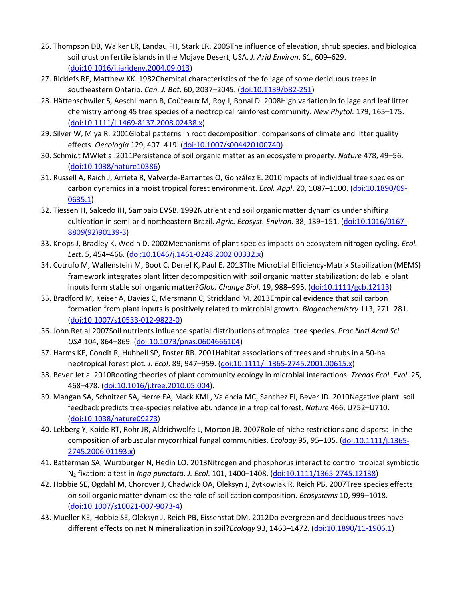- 26. Thompson DB, Walker LR, Landau FH, Stark LR. 2005The influence of elevation, shrub species, and biological soil crust on fertile islands in the Mojave Desert, USA. *J. Arid Environ*. 61, 609–629. [\(doi:10.1016/j.jaridenv.2004.09.013\)](http://dx.doi.org/10.1016/j.jaridenv.2004.09.013)
- 27. Ricklefs RE, Matthew KK. 1982Chemical characteristics of the foliage of some deciduous trees in southeastern Ontario. *Can. J. Bot*. 60, 2037–2045. [\(doi:10.1139/b82-251\)](http://dx.doi.org/10.1139/b82-251)
- 28. Hättenschwiler S, Aeschlimann B, Coûteaux M, Roy J, Bonal D. 2008High variation in foliage and leaf litter chemistry among 45 tree species of a neotropical rainforest community. *New Phytol*. 179, 165–175. [\(doi:10.1111/j.1469-8137.2008.02438.x\)](http://dx.doi.org/10.1111/j.1469-8137.2008.02438.x)
- 29. Silver W, Miya R. 2001Global patterns in root decomposition: comparisons of climate and litter quality effects. *Oecologia* 129, 407–419. [\(doi:10.1007/s004420100740\)](http://dx.doi.org/10.1007/s004420100740)
- 30. Schmidt MWIet al.2011Persistence of soil organic matter as an ecosystem property. *Nature* 478, 49–56. [\(doi:10.1038/nature10386\)](http://dx.doi.org/10.1038/nature10386)
- 31. Russell A, Raich J, Arrieta R, Valverde-Barrantes O, González E. 2010Impacts of individual tree species on carbon dynamics in a moist tropical forest environment. *Ecol. Appl*. 20, 1087–1100. [\(doi:10.1890/09-](http://dx.doi.org/10.1890/09-0635.1) [0635.1\)](http://dx.doi.org/10.1890/09-0635.1)
- 32. Tiessen H, Salcedo IH, Sampaio EVSB. 1992Nutrient and soil organic matter dynamics under shifting cultivation in semi-arid northeastern Brazil. *Agric. Ecosyst. Environ*. 38, 139–151. [\(doi:10.1016/0167-](http://dx.doi.org/10.1016/0167-8809(92)90139-3) [8809\(92\)90139-3\)](http://dx.doi.org/10.1016/0167-8809(92)90139-3)
- 33. Knops J, Bradley K, Wedin D. 2002Mechanisms of plant species impacts on ecosystem nitrogen cycling. *Ecol. Lett*. 5, 454–466. [\(doi:10.1046/j.1461-0248.2002.00332.x\)](http://dx.doi.org/10.1046/j.1461-0248.2002.00332.x)
- 34. Cotrufo M, Wallenstein M, Boot C, Denef K, Paul E. 2013The Microbial Efficiency-Matrix Stabilization (MEMS) framework integrates plant litter decomposition with soil organic matter stabilization: do labile plant inputs form stable soil organic matter?*Glob. Change Biol*. 19, 988–995. [\(doi:10.1111/gcb.12113\)](http://dx.doi.org/10.1111/gcb.12113)
- 35. Bradford M, Keiser A, Davies C, Mersmann C, Strickland M. 2013Empirical evidence that soil carbon formation from plant inputs is positively related to microbial growth. *Biogeochemistry* 113, 271–281. [\(doi:10.1007/s10533-012-9822-0\)](http://dx.doi.org/10.1007/s10533-012-9822-0)
- 36. John Ret al.2007Soil nutrients influence spatial distributions of tropical tree species. *Proc Natl Acad Sci USA* 104, 864–869. [\(doi:10.1073/pnas.0604666104\)](http://dx.doi.org/10.1073/pnas.0604666104)
- 37. Harms KE, Condit R, Hubbell SP, Foster RB. 2001Habitat associations of trees and shrubs in a 50-ha neotropical forest plot. *J. Ecol*. 89, 947–959. [\(doi:10.1111/j.1365-2745.2001.00615.x\)](http://dx.doi.org/10.1111/j.1365-2745.2001.00615.x)
- 38. Bever Jet al.2010Rooting theories of plant community ecology in microbial interactions. *Trends Ecol. Evol*. 25, 468–478. [\(doi:10.1016/j.tree.2010.05.004\)](http://dx.doi.org/10.1016/j.tree.2010.05.004).
- 39. Mangan SA, Schnitzer SA, Herre EA, Mack KML, Valencia MC, Sanchez EI, Bever JD. 2010Negative plant–soil feedback predicts tree-species relative abundance in a tropical forest. *Nature* 466, U752–U710. [\(doi:10.1038/nature09273\)](http://dx.doi.org/10.1038/nature09273)
- 40. Lekberg Y, Koide RT, Rohr JR, Aldrichwolfe L, Morton JB. 2007Role of niche restrictions and dispersal in the composition of arbuscular mycorrhizal fungal communities. *Ecology* 95, 95–105. [\(doi:10.1111/j.1365-](http://dx.doi.org/10.1111/j.1365-2745.2006.01193.x) [2745.2006.01193.x\)](http://dx.doi.org/10.1111/j.1365-2745.2006.01193.x)
- 41. Batterman SA, Wurzburger N, Hedin LO. 2013Nitrogen and phosphorus interact to control tropical symbiotic N2 fixation: a test in *Inga punctata*. *J. Ecol*. 101, 1400–1408. [\(doi:10.1111/1365-2745.12138\)](http://dx.doi.org/10.1111/1365-2745.12138)
- 42. Hobbie SE, Ogdahl M, Chorover J, Chadwick OA, Oleksyn J, Zytkowiak R, Reich PB. 2007Tree species effects on soil organic matter dynamics: the role of soil cation composition. *Ecosystems* 10, 999–1018. [\(doi:10.1007/s10021-007-9073-4\)](http://dx.doi.org/10.1007/s10021-007-9073-4)
- 43. Mueller KE, Hobbie SE, Oleksyn J, Reich PB, Eissenstat DM. 2012Do evergreen and deciduous trees have different effects on net N mineralization in soil?*Ecology* 93, 1463–1472. [\(doi:10.1890/11-1906.1\)](http://dx.doi.org/10.1890/11-1906.1)